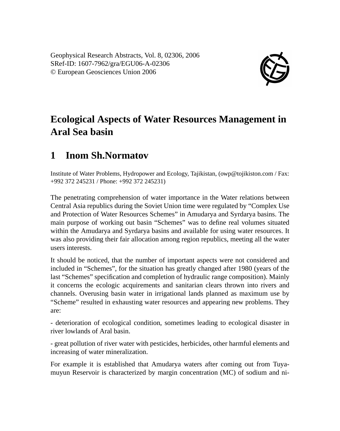Geophysical Research Abstracts, Vol. 8, 02306, 2006 SRef-ID: 1607-7962/gra/EGU06-A-02306 © European Geosciences Union 2006



## **Ecological Aspects of Water Resources Management in Aral Sea basin**

## **1 Inom Sh.Normatov**

Institute of Water Problems, Hydropower and Ecology, Tajikistan, (owp@tojikiston.com / Fax: +992 372 245231 / Phone: +992 372 245231)

The penetrating comprehension of water importance in the Water relations between Central Asia republics during the Soviet Union time were regulated by "Complex Use and Protection of Water Resources Schemes" in Amudarya and Syrdarya basins. The main purpose of working out basin "Schemes" was to define real volumes situated within the Amudarya and Syrdarya basins and available for using water resources. It was also providing their fair allocation among region republics, meeting all the water users interests.

It should be noticed, that the number of important aspects were not considered and included in "Schemes", for the situation has greatly changed after 1980 (years of the last "Schemes" specification and completion of hydraulic range composition). Mainly it concerns the ecologic acquirements and sanitarian clears thrown into rivers and channels. Overusing basin water in irrigational lands planned as maximum use by "Scheme" resulted in exhausting water resources and appearing new problems. They are:

- deterioration of ecological condition, sometimes leading to ecological disaster in river lowlands of Aral basin.

- great pollution of river water with pesticides, herbicides, other harmful elements and increasing of water mineralization.

For example it is established that Amudarya waters after coming out from Tuyamuyun Reservoir is characterized by margin concentration (MC) of sodium and ni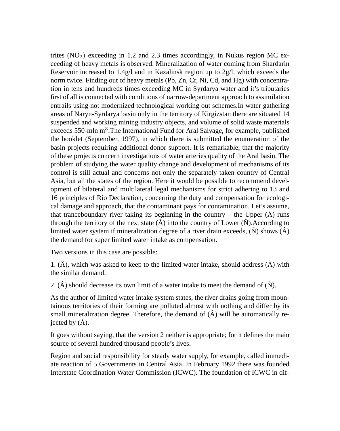trites  $(NO<sub>2</sub>)$  exceeding in 1.2 and 2.3 times accordingly, in Nukus region MC exceeding of heavy metals is observed. Mineralization of water coming from Shardarin Reservoir increased to 1.4g/l and in Kazalinsk region up to 2g/l, which exceeds the norm twice. Finding out of heavy metals (Pb, Zn, Cr, Ni, Cd, and Hg) with concentration in tens and hundreds times exceeding MC in Syrdarya water and it's tributaries first of all is connected with conditions of narrow-department approach to assimilation entrails using not modernized technological working out schemes.In water gathering areas of Naryn-Syrdarya basin only in the territory of Kirgizstan there are situated 14 suspended and working mining industry objects, and volume of solid waste materials exceeds 550-mln m<sup>3</sup>. The International Fund for Aral Salvage, for example, published the booklet (September, 1997), in which there is submitted the enumeration of the basin projects requiring additional donor support. It is remarkable, that the majority of these projects concern investigations of water arteries quality of the Aral basin. The problem of studying the water quality change and development of mechanisms of its control is still actual and concerns not only the separately taken country of Central Asia, but all the states of the region. Here it would be possible to recommend development of bilateral and multilateral legal mechanisms for strict adhering to 13 and 16 principles of Rio Declaration, concerning the duty and compensation for ecological damage and approach, that the contaminant pays for contamination. Let's assume, that tranceboundary river taking its beginning in the country – the Upper  $(\hat{A})$  runs through the territory of the next state  $(\hat{A})$  into the country of Lower  $(\hat{N})$ . According to limited water system if mineralization degree of a river drain exceeds,  $(\tilde{N})$  shows  $(\hat{A})$ the demand for super limited water intake as compensation.

Two versions in this case are possible:

1.  $(\hat{A})$ , which was asked to keep to the limited water intake, should address  $(\hat{A})$  with the similar demand.

2.  $(\hat{A})$  should decrease its own limit of a water intake to meet the demand of  $(\hat{N})$ .

As the author of limited water intake system states, the river drains going from mountainous territories of their forming are polluted almost with nothing and differ by its small mineralization degree. Therefore, the demand of  $(\hat{A})$  will be automatically rejected by  $(\hat{A})$ .

It goes without saying, that the version 2 neither is appropriate; for it defines the main source of several hundred thousand people's lives.

Region and social responsibility for steady water supply, for example, called immediate reaction of 5 Governments in Central Asia. In February 1992 there was founded Interstate Coordination Water Commission (ICWC). The foundation of ICWC in dif-